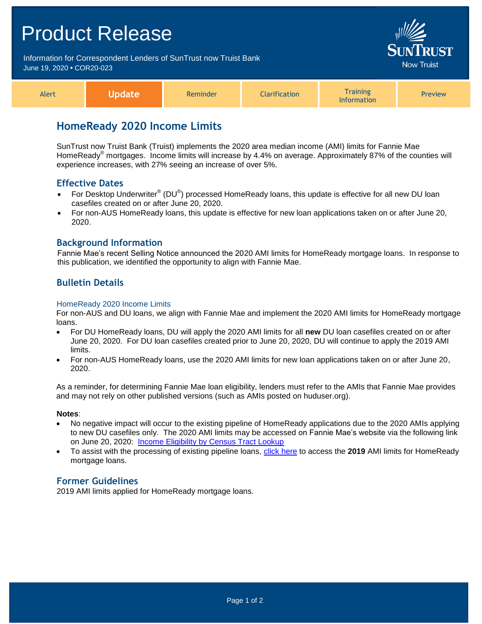# Product Release Information for Correspondent Lenders of SunTrust now Truist Bank Jow Truist June 19, 2020 **•** COR20-023 **Training** Alert **Update** Reminder **Clarification** Preview Information

# **HomeReady 2020 Income Limits**

SunTrust now Truist Bank (Truist) implements the 2020 area median income (AMI) limits for Fannie Mae HomeReady® mortgages. Income limits will increase by 4.4% on average. Approximately 87% of the counties will experience increases, with 27% seeing an increase of over 5%.

# **Effective Dates**

- For Desktop Underwriter® (DU®) processed HomeReady loans, this update is effective for all new DU loan casefiles created on or after June 20, 2020.
- For non-AUS HomeReady loans, this update is effective for new loan applications taken on or after June 20, 2020.

# **Background Information**

Fannie Mae's recent Selling Notice announced the 2020 AMI limits for HomeReady mortgage loans. In response to this publication, we identified the opportunity to align with Fannie Mae.

# **Bulletin Details**

#### HomeReady 2020 Income Limits

For non-AUS and DU loans, we align with Fannie Mae and implement the 2020 AMI limits for HomeReady mortgage loans.

- For DU HomeReady loans, DU will apply the 2020 AMI limits for all **new** DU loan casefiles created on or after June 20, 2020. For DU loan casefiles created prior to June 20, 2020, DU will continue to apply the 2019 AMI limits.
- For non-AUS HomeReady loans, use the 2020 AMI limits for new loan applications taken on or after June 20, 2020.

As a reminder, for determining Fannie Mae loan eligibility, lenders must refer to the AMIs that Fannie Mae provides and may not rely on other published versions (such as AMIs posted on huduser.org).

#### **Notes**:

- No negative impact will occur to the existing pipeline of HomeReady applications due to the 2020 AMIs applying to new DU casefiles only. The 2020 AMI limits may be accessed on Fannie Mae's website via the following link on June 20, 2020: [Income Eligibility by Census Tract Lookup](https://www.fanniemae.com/content/eligibility_information/homeready-income-eligibility-lookup.xlsx)
- To assist with the processing of existing pipeline loans, [click here](https://www.truistsellerguide.com/manual/cor/products/HomeReady-Income-Eligibility-Lookup%202019.xlsx) to access the **2019** AMI limits for HomeReady mortgage loans.

### **Former Guidelines**

2019 AMI limits applied for HomeReady mortgage loans.